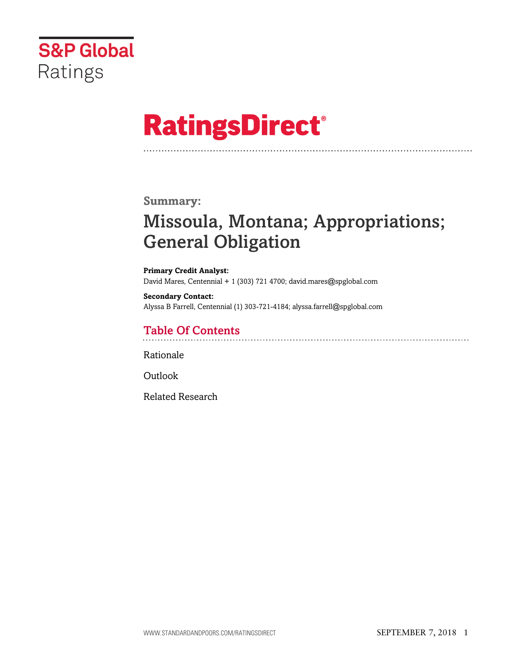

# **RatingsDirect®**

### **Summary:**

# Missoula, Montana; Appropriations; General Obligation

#### **Primary Credit Analyst:** David Mares, Centennial + 1 (303) 721 4700; david.mares@spglobal.com

**Secondary Contact:** Alyssa B Farrell, Centennial (1) 303-721-4184; alyssa.farrell@spglobal.com

# Table Of Contents

[Rationale](#page-1-0)

[Outlook](#page-4-0)

[Related Research](#page-4-1)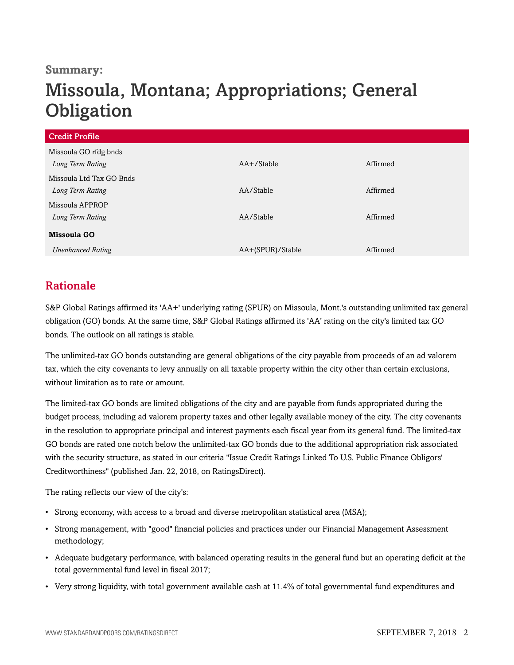### **Summary:**

# Missoula, Montana; Appropriations; General **Obligation**

| <b>Credit Profile</b>    |                  |          |
|--------------------------|------------------|----------|
| Missoula GO rfdg bnds    |                  |          |
| Long Term Rating         | $AA+$ /Stable    | Affirmed |
| Missoula Ltd Tax GO Bnds |                  |          |
| Long Term Rating         | AA/Stable        | Affirmed |
| Missoula APPROP          |                  |          |
| Long Term Rating         | AA/Stable        | Affirmed |
| Missoula GO              |                  |          |
| <b>Unenhanced Rating</b> | AA+(SPUR)/Stable | Affirmed |

# <span id="page-1-0"></span>Rationale

S&P Global Ratings affirmed its 'AA+' underlying rating (SPUR) on Missoula, Mont.'s outstanding unlimited tax general obligation (GO) bonds. At the same time, S&P Global Ratings affirmed its 'AA' rating on the city's limited tax GO bonds. The outlook on all ratings is stable.

The unlimited-tax GO bonds outstanding are general obligations of the city payable from proceeds of an ad valorem tax, which the city covenants to levy annually on all taxable property within the city other than certain exclusions, without limitation as to rate or amount.

The limited-tax GO bonds are limited obligations of the city and are payable from funds appropriated during the budget process, including ad valorem property taxes and other legally available money of the city. The city covenants in the resolution to appropriate principal and interest payments each fiscal year from its general fund. The limited-tax GO bonds are rated one notch below the unlimited-tax GO bonds due to the additional appropriation risk associated with the security structure, as stated in our criteria "Issue Credit Ratings Linked To U.S. Public Finance Obligors' Creditworthiness" (published Jan. 22, 2018, on RatingsDirect).

The rating reflects our view of the city's:

- Strong economy, with access to a broad and diverse metropolitan statistical area (MSA);
- Strong management, with "good" financial policies and practices under our Financial Management Assessment methodology;
- Adequate budgetary performance, with balanced operating results in the general fund but an operating deficit at the total governmental fund level in fiscal 2017;
- Very strong liquidity, with total government available cash at 11.4% of total governmental fund expenditures and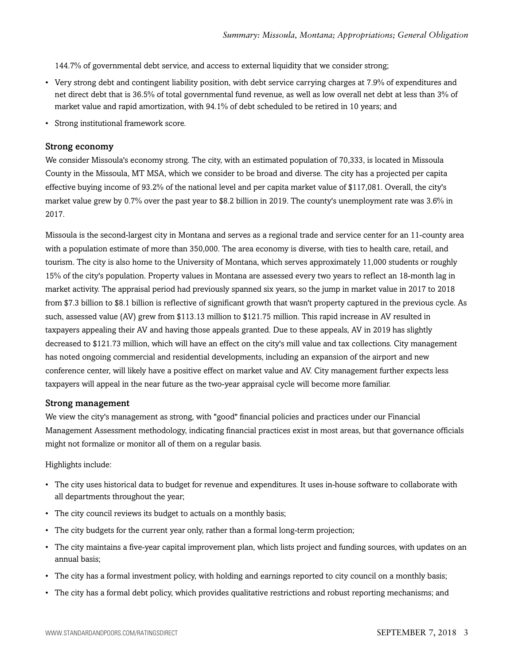144.7% of governmental debt service, and access to external liquidity that we consider strong;

- Very strong debt and contingent liability position, with debt service carrying charges at 7.9% of expenditures and net direct debt that is 36.5% of total governmental fund revenue, as well as low overall net debt at less than 3% of market value and rapid amortization, with 94.1% of debt scheduled to be retired in 10 years; and
- Strong institutional framework score.

#### Strong economy

We consider Missoula's economy strong. The city, with an estimated population of 70,333, is located in Missoula County in the Missoula, MT MSA, which we consider to be broad and diverse. The city has a projected per capita effective buying income of 93.2% of the national level and per capita market value of \$117,081. Overall, the city's market value grew by 0.7% over the past year to \$8.2 billion in 2019. The county's unemployment rate was 3.6% in 2017.

Missoula is the second-largest city in Montana and serves as a regional trade and service center for an 11-county area with a population estimate of more than 350,000. The area economy is diverse, with ties to health care, retail, and tourism. The city is also home to the University of Montana, which serves approximately 11,000 students or roughly 15% of the city's population. Property values in Montana are assessed every two years to reflect an 18-month lag in market activity. The appraisal period had previously spanned six years, so the jump in market value in 2017 to 2018 from \$7.3 billion to \$8.1 billion is reflective of significant growth that wasn't property captured in the previous cycle. As such, assessed value (AV) grew from \$113.13 million to \$121.75 million. This rapid increase in AV resulted in taxpayers appealing their AV and having those appeals granted. Due to these appeals, AV in 2019 has slightly decreased to \$121.73 million, which will have an effect on the city's mill value and tax collections. City management has noted ongoing commercial and residential developments, including an expansion of the airport and new conference center, will likely have a positive effect on market value and AV. City management further expects less taxpayers will appeal in the near future as the two-year appraisal cycle will become more familiar.

#### Strong management

We view the city's management as strong, with "good" financial policies and practices under our Financial Management Assessment methodology, indicating financial practices exist in most areas, but that governance officials might not formalize or monitor all of them on a regular basis.

Highlights include:

- The city uses historical data to budget for revenue and expenditures. It uses in-house software to collaborate with all departments throughout the year;
- The city council reviews its budget to actuals on a monthly basis;
- The city budgets for the current year only, rather than a formal long-term projection;
- The city maintains a five-year capital improvement plan, which lists project and funding sources, with updates on an annual basis;
- The city has a formal investment policy, with holding and earnings reported to city council on a monthly basis;
- The city has a formal debt policy, which provides qualitative restrictions and robust reporting mechanisms; and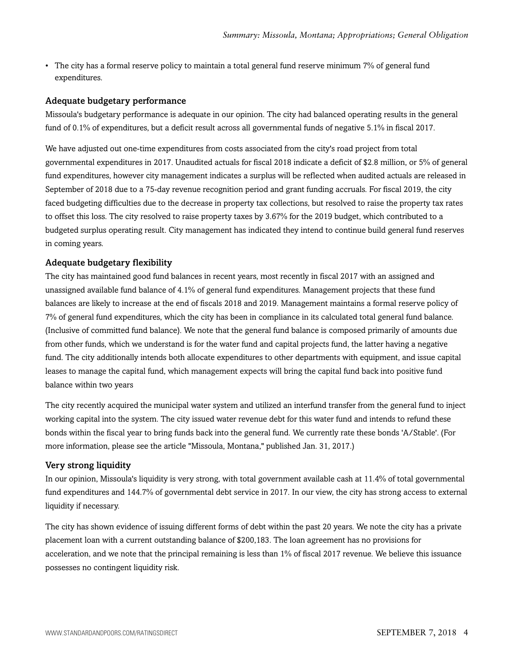• The city has a formal reserve policy to maintain a total general fund reserve minimum 7% of general fund expenditures.

#### Adequate budgetary performance

Missoula's budgetary performance is adequate in our opinion. The city had balanced operating results in the general fund of 0.1% of expenditures, but a deficit result across all governmental funds of negative 5.1% in fiscal 2017.

We have adjusted out one-time expenditures from costs associated from the city's road project from total governmental expenditures in 2017. Unaudited actuals for fiscal 2018 indicate a deficit of \$2.8 million, or 5% of general fund expenditures, however city management indicates a surplus will be reflected when audited actuals are released in September of 2018 due to a 75-day revenue recognition period and grant funding accruals. For fiscal 2019, the city faced budgeting difficulties due to the decrease in property tax collections, but resolved to raise the property tax rates to offset this loss. The city resolved to raise property taxes by 3.67% for the 2019 budget, which contributed to a budgeted surplus operating result. City management has indicated they intend to continue build general fund reserves in coming years.

#### Adequate budgetary flexibility

The city has maintained good fund balances in recent years, most recently in fiscal 2017 with an assigned and unassigned available fund balance of 4.1% of general fund expenditures. Management projects that these fund balances are likely to increase at the end of fiscals 2018 and 2019. Management maintains a formal reserve policy of 7% of general fund expenditures, which the city has been in compliance in its calculated total general fund balance. (Inclusive of committed fund balance). We note that the general fund balance is composed primarily of amounts due from other funds, which we understand is for the water fund and capital projects fund, the latter having a negative fund. The city additionally intends both allocate expenditures to other departments with equipment, and issue capital leases to manage the capital fund, which management expects will bring the capital fund back into positive fund balance within two years

The city recently acquired the municipal water system and utilized an interfund transfer from the general fund to inject working capital into the system. The city issued water revenue debt for this water fund and intends to refund these bonds within the fiscal year to bring funds back into the general fund. We currently rate these bonds 'A/Stable'. (For more information, please see the article "Missoula, Montana," published Jan. 31, 2017.)

#### Very strong liquidity

In our opinion, Missoula's liquidity is very strong, with total government available cash at 11.4% of total governmental fund expenditures and 144.7% of governmental debt service in 2017. In our view, the city has strong access to external liquidity if necessary.

The city has shown evidence of issuing different forms of debt within the past 20 years. We note the city has a private placement loan with a current outstanding balance of \$200,183. The loan agreement has no provisions for acceleration, and we note that the principal remaining is less than 1% of fiscal 2017 revenue. We believe this issuance possesses no contingent liquidity risk.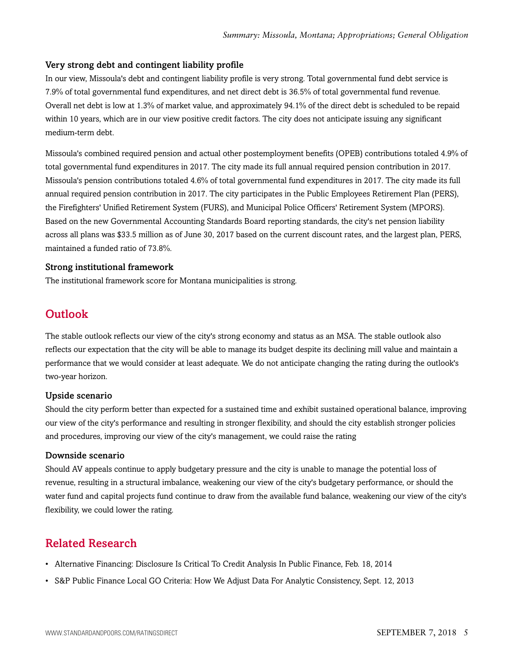#### Very strong debt and contingent liability profile

In our view, Missoula's debt and contingent liability profile is very strong. Total governmental fund debt service is 7.9% of total governmental fund expenditures, and net direct debt is 36.5% of total governmental fund revenue. Overall net debt is low at 1.3% of market value, and approximately 94.1% of the direct debt is scheduled to be repaid within 10 years, which are in our view positive credit factors. The city does not anticipate issuing any significant medium-term debt.

Missoula's combined required pension and actual other postemployment benefits (OPEB) contributions totaled 4.9% of total governmental fund expenditures in 2017. The city made its full annual required pension contribution in 2017. Missoula's pension contributions totaled 4.6% of total governmental fund expenditures in 2017. The city made its full annual required pension contribution in 2017. The city participates in the Public Employees Retirement Plan (PERS), the Firefighters' Unified Retirement System (FURS), and Municipal Police Officers' Retirement System (MPORS). Based on the new Governmental Accounting Standards Board reporting standards, the city's net pension liability across all plans was \$33.5 million as of June 30, 2017 based on the current discount rates, and the largest plan, PERS, maintained a funded ratio of 73.8%.

#### Strong institutional framework

<span id="page-4-0"></span>The institutional framework score for Montana municipalities is strong.

## **Outlook**

The stable outlook reflects our view of the city's strong economy and status as an MSA. The stable outlook also reflects our expectation that the city will be able to manage its budget despite its declining mill value and maintain a performance that we would consider at least adequate. We do not anticipate changing the rating during the outlook's two-year horizon.

#### Upside scenario

Should the city perform better than expected for a sustained time and exhibit sustained operational balance, improving our view of the city's performance and resulting in stronger flexibility, and should the city establish stronger policies and procedures, improving our view of the city's management, we could raise the rating

#### Downside scenario

Should AV appeals continue to apply budgetary pressure and the city is unable to manage the potential loss of revenue, resulting in a structural imbalance, weakening our view of the city's budgetary performance, or should the water fund and capital projects fund continue to draw from the available fund balance, weakening our view of the city's flexibility, we could lower the rating.

# <span id="page-4-1"></span>Related Research

- Alternative Financing: Disclosure Is Critical To Credit Analysis In Public Finance, Feb. 18, 2014
- S&P Public Finance Local GO Criteria: How We Adjust Data For Analytic Consistency, Sept. 12, 2013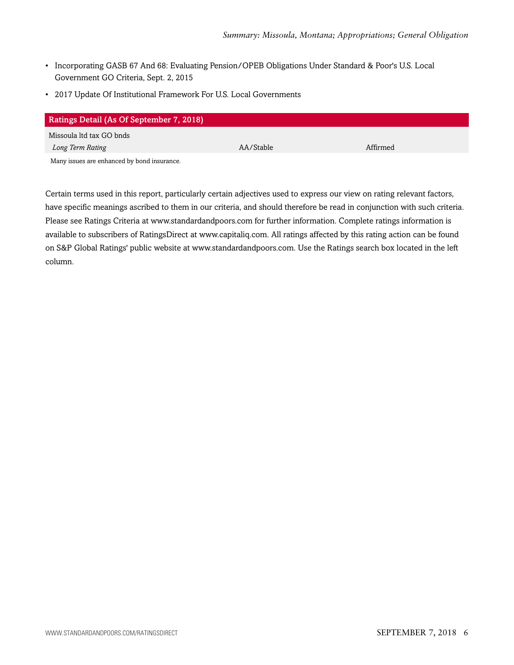- Incorporating GASB 67 And 68: Evaluating Pension/OPEB Obligations Under Standard & Poor's U.S. Local Government GO Criteria, Sept. 2, 2015
- 2017 Update Of Institutional Framework For U.S. Local Governments

| <b>Ratings Detail (As Of September 7, 2018)</b> |           |          |  |
|-------------------------------------------------|-----------|----------|--|
| Missoula ltd tax GO bnds                        |           |          |  |
| Long Term Rating                                | AA/Stable | Affirmed |  |
| Many issues are enhanced by bond insurance.     |           |          |  |

Certain terms used in this report, particularly certain adjectives used to express our view on rating relevant factors, have specific meanings ascribed to them in our criteria, and should therefore be read in conjunction with such criteria. Please see Ratings Criteria at www.standardandpoors.com for further information. Complete ratings information is available to subscribers of RatingsDirect at www.capitaliq.com. All ratings affected by this rating action can be found on S&P Global Ratings' public website at www.standardandpoors.com. Use the Ratings search box located in the left column.